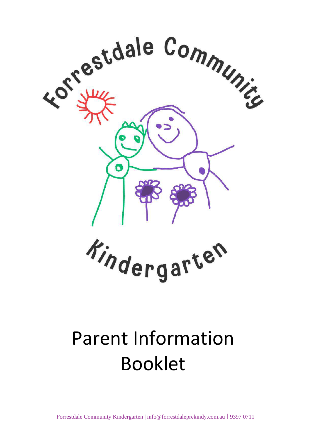

# Parent Information Booklet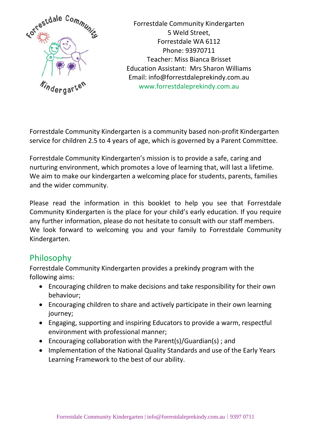

Forrestdale Community Kindergarten 5 Weld Street, Forrestdale WA 6112 Phone: 93970711 Teacher: Miss Bianca Brisset Education Assistant: Mrs Sharon Williams Email: info@forrestdaleprekindy.com.au www.forrestdaleprekindy.com.au

Forrestdale Community Kindergarten is a community based non-profit Kindergarten service for children 2.5 to 4 years of age, which is governed by a Parent Committee.

Forrestdale Community Kindergarten's mission is to provide a safe, caring and nurturing environment, which promotes a love of learning that, will last a lifetime. We aim to make our kindergarten a welcoming place for students, parents, families and the wider community.

Please read the information in this booklet to help you see that Forrestdale Community Kindergarten is the place for your child's early education. If you require any further information, please do not hesitate to consult with our staff members. We look forward to welcoming you and your family to Forrestdale Community Kindergarten.

# Philosophy

Forrestdale Community Kindergarten provides a prekindy program with the following aims:

- Encouraging children to make decisions and take responsibility for their own behaviour;
- Encouraging children to share and actively participate in their own learning journey;
- Engaging, supporting and inspiring Educators to provide a warm, respectful environment with professional manner;
- Encouraging collaboration with the Parent(s)/Guardian(s) ; and
- Implementation of the National Quality Standards and use of the Early Years Learning Framework to the best of our ability.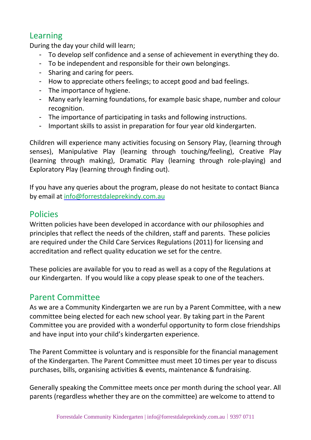# Learning

During the day your child will learn;

- To develop self confidence and a sense of achievement in everything they do.
- To be independent and responsible for their own belongings.
- Sharing and caring for peers.
- How to appreciate others feelings; to accept good and bad feelings.
- The importance of hygiene.
- Many early learning foundations, for example basic shape, number and colour recognition.
- The importance of participating in tasks and following instructions.
- Important skills to assist in preparation for four year old kindergarten.

Children will experience many activities focusing on Sensory Play, (learning through senses), Manipulative Play (learning through touching/feeling), Creative Play (learning through making), Dramatic Play (learning through role-playing) and Exploratory Play (learning through finding out).

If you have any queries about the program, please do not hesitate to contact Bianca by email at [info@forrestdaleprekindy.com.au](mailto:info@forrestdaleprekindy.com.au)

#### Policies

Written policies have been developed in accordance with our philosophies and principles that reflect the needs of the children, staff and parents. These policies are required under the Child Care Services Regulations (2011) for licensing and accreditation and reflect quality education we set for the centre.

These policies are available for you to read as well as a copy of the Regulations at our Kindergarten. If you would like a copy please speak to one of the teachers.

# Parent Committee

As we are a Community Kindergarten we are run by a Parent Committee, with a new committee being elected for each new school year. By taking part in the Parent Committee you are provided with a wonderful opportunity to form close friendships and have input into your child's kindergarten experience.

The Parent Committee is voluntary and is responsible for the financial management of the Kindergarten. The Parent Committee must meet 10 times per year to discuss purchases, bills, organising activities & events, maintenance & fundraising.

Generally speaking the Committee meets once per month during the school year. All parents (regardless whether they are on the committee) are welcome to attend to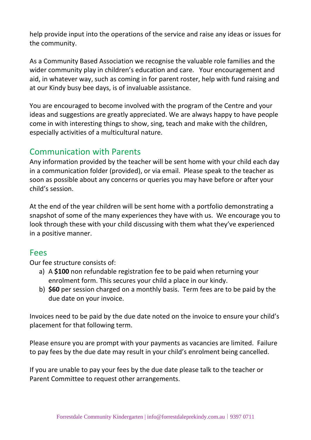help provide input into the operations of the service and raise any ideas or issues for the community.

As a Community Based Association we recognise the valuable role families and the wider community play in children's education and care. Your encouragement and aid, in whatever way, such as coming in for parent roster, help with fund raising and at our Kindy busy bee days, is of invaluable assistance.

You are encouraged to become involved with the program of the Centre and your ideas and suggestions are greatly appreciated. We are always happy to have people come in with interesting things to show, sing, teach and make with the children, especially activities of a multicultural nature.

## Communication with Parents

Any information provided by the teacher will be sent home with your child each day in a communication folder (provided), or via email. Please speak to the teacher as soon as possible about any concerns or queries you may have before or after your child's session.

At the end of the year children will be sent home with a portfolio demonstrating a snapshot of some of the many experiences they have with us. We encourage you to look through these with your child discussing with them what they've experienced in a positive manner.

#### Fees

Our fee structure consists of:

- a) A **\$100** non refundable registration fee to be paid when returning your enrolment form. This secures your child a place in our kindy.
- b) **\$60** per session charged on a monthly basis. Term fees are to be paid by the due date on your invoice.

Invoices need to be paid by the due date noted on the invoice to ensure your child's placement for that following term.

Please ensure you are prompt with your payments as vacancies are limited. Failure to pay fees by the due date may result in your child's enrolment being cancelled.

If you are unable to pay your fees by the due date please talk to the teacher or Parent Committee to request other arrangements.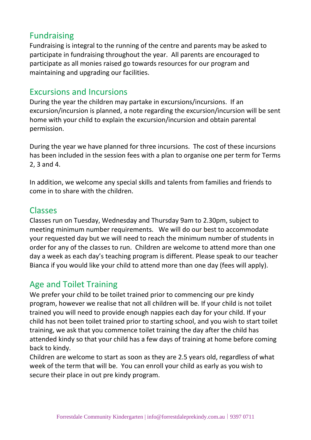# Fundraising

Fundraising is integral to the running of the centre and parents may be asked to participate in fundraising throughout the year. All parents are encouraged to participate as all monies raised go towards resources for our program and maintaining and upgrading our facilities.

#### Excursions and Incursions

During the year the children may partake in excursions/incursions. If an excursion/incursion is planned, a note regarding the excursion/incursion will be sent home with your child to explain the excursion/incursion and obtain parental permission.

During the year we have planned for three incursions. The cost of these incursions has been included in the session fees with a plan to organise one per term for Terms 2, 3 and 4.

In addition, we welcome any special skills and talents from families and friends to come in to share with the children.

#### Classes

Classes run on Tuesday, Wednesday and Thursday 9am to 2.30pm, subject to meeting minimum number requirements. We will do our best to accommodate your requested day but we will need to reach the minimum number of students in order for any of the classes to run. Children are welcome to attend more than one day a week as each day's teaching program is different. Please speak to our teacher Bianca if you would like your child to attend more than one day (fees will apply).

# Age and Toilet Training

We prefer your child to be toilet trained prior to commencing our pre kindy program, however we realise that not all children will be. If your child is not toilet trained you will need to provide enough nappies each day for your child. If your child has not been toilet trained prior to starting school, and you wish to start toilet training, we ask that you commence toilet training the day after the child has attended kindy so that your child has a few days of training at home before coming back to kindy.

Children are welcome to start as soon as they are 2.5 years old, regardless of what week of the term that will be. You can enroll your child as early as you wish to secure their place in out pre kindy program.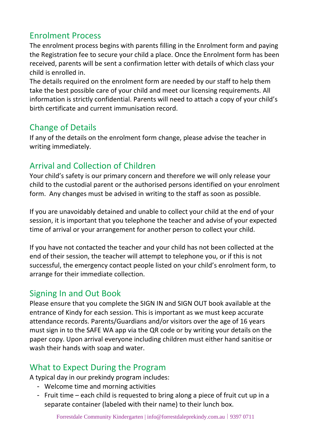# Enrolment Process

The enrolment process begins with parents filling in the Enrolment form and paying the Registration fee to secure your child a place. Once the Enrolment form has been received, parents will be sent a confirmation letter with details of which class your child is enrolled in.

The details required on the enrolment form are needed by our staff to help them take the best possible care of your child and meet our licensing requirements. All information is strictly confidential. Parents will need to attach a copy of your child's birth certificate and current immunisation record.

# Change of Details

If any of the details on the enrolment form change, please advise the teacher in writing immediately.

# Arrival and Collection of Children

Your child's safety is our primary concern and therefore we will only release your child to the custodial parent or the authorised persons identified on your enrolment form. Any changes must be advised in writing to the staff as soon as possible.

If you are unavoidably detained and unable to collect your child at the end of your session, it is important that you telephone the teacher and advise of your expected time of arrival or your arrangement for another person to collect your child.

If you have not contacted the teacher and your child has not been collected at the end of their session, the teacher will attempt to telephone you, or if this is not successful, the emergency contact people listed on your child's enrolment form, to arrange for their immediate collection.

# Signing In and Out Book

Please ensure that you complete the SIGN IN and SIGN OUT book available at the entrance of Kindy for each session. This is important as we must keep accurate attendance records. Parents/Guardians and/or visitors over the age of 16 years must sign in to the SAFE WA app via the QR code or by writing your details on the paper copy. Upon arrival everyone including children must either hand sanitise or wash their hands with soap and water.

# What to Expect During the Program

A typical day in our prekindy program includes:

- Welcome time and morning activities
- Fruit time each child is requested to bring along a piece of fruit cut up in a separate container (labeled with their name) to their lunch box.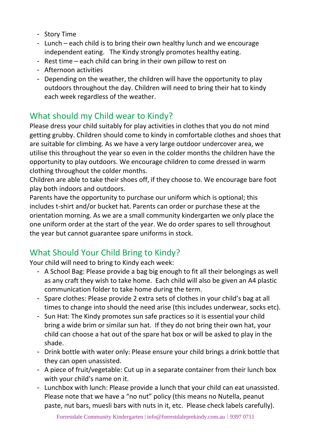- Story Time
- Lunch each child is to bring their own healthy lunch and we encourage independent eating. The Kindy strongly promotes healthy eating.
- Rest time each child can bring in their own pillow to rest on
- Afternoon activities
- Depending on the weather, the children will have the opportunity to play outdoors throughout the day. Children will need to bring their hat to kindy each week regardless of the weather.

# What should my Child wear to Kindy?

Please dress your child suitably for play activities in clothes that you do not mind getting grubby. Children should come to kindy in comfortable clothes and shoes that are suitable for climbing. As we have a very large outdoor undercover area, we utilise this throughout the year so even in the colder months the children have the opportunity to play outdoors. We encourage children to come dressed in warm clothing throughout the colder months.

Children are able to take their shoes off, if they choose to. We encourage bare foot play both indoors and outdoors.

Parents have the opportunity to purchase our uniform which is optional; this includes t-shirt and/or bucket hat. Parents can order or purchase these at the orientation morning. As we are a small community kindergarten we only place the one uniform order at the start of the year. We do order spares to sell throughout the year but cannot guarantee spare uniforms in stock.

# What Should Your Child Bring to Kindy?

Your child will need to bring to Kindy each week:

- A School Bag: Please provide a bag big enough to fit all their belongings as well as any craft they wish to take home. Each child will also be given an A4 plastic communication folder to take home during the term.
- Spare clothes: Please provide 2 extra sets of clothes in your child's bag at all times to change into should the need arise (this includes underwear, socks etc).
- Sun Hat: The Kindy promotes sun safe practices so it is essential your child bring a wide brim or similar sun hat. If they do not bring their own hat, your child can choose a hat out of the spare hat box or will be asked to play in the shade.
- Drink bottle with water only: Please ensure your child brings a drink bottle that they can open unassisted.
- A piece of fruit/vegetable: Cut up in a separate container from their lunch box with your child's name on it.
- Lunchbox with lunch: Please provide a lunch that your child can eat unassisted. Please note that we have a "no nut" policy (this means no Nutella, peanut paste, nut bars, muesli bars with nuts in it, etc. Please check labels carefully).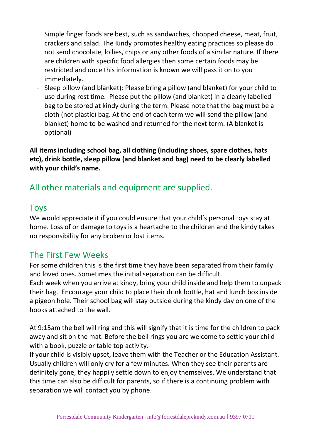Simple finger foods are best, such as sandwiches, chopped cheese, meat, fruit, crackers and salad. The Kindy promotes healthy eating practices so please do not send chocolate, lollies, chips or any other foods of a similar nature. If there are children with specific food allergies then some certain foods may be restricted and once this information is known we will pass it on to you immediately.

- Sleep pillow (and blanket): Please bring a pillow (and blanket) for your child to use during rest time. Please put the pillow (and blanket) in a clearly labelled bag to be stored at kindy during the term. Please note that the bag must be a cloth (not plastic) bag. At the end of each term we will send the pillow (and blanket) home to be washed and returned for the next term. (A blanket is optional)

**All items including school bag, all clothing (including shoes, spare clothes, hats etc), drink bottle, sleep pillow (and blanket and bag) need to be clearly labelled with your child's name.**

# All other materials and equipment are supplied.

#### Toys

We would appreciate it if you could ensure that your child's personal toys stay at home. Loss of or damage to toys is a heartache to the children and the kindy takes no responsibility for any broken or lost items.

# The First Few Weeks

For some children this is the first time they have been separated from their family and loved ones. Sometimes the initial separation can be difficult.

Each week when you arrive at kindy, bring your child inside and help them to unpack their bag. Encourage your child to place their drink bottle, hat and lunch box inside a pigeon hole. Their school bag will stay outside during the kindy day on one of the hooks attached to the wall.

At 9:15am the bell will ring and this will signify that it is time for the children to pack away and sit on the mat. Before the bell rings you are welcome to settle your child with a book, puzzle or table top activity.

If your child is visibly upset, leave them with the Teacher or the Education Assistant. Usually children will only cry for a few minutes. When they see their parents are definitely gone, they happily settle down to enjoy themselves. We understand that this time can also be difficult for parents, so if there is a continuing problem with separation we will contact you by phone.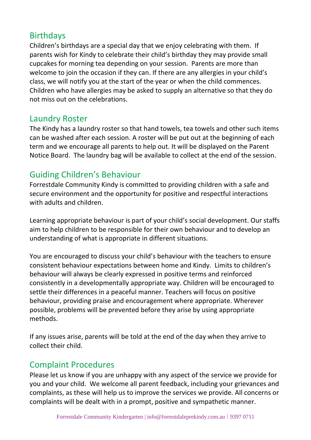## Birthdays

Children's birthdays are a special day that we enjoy celebrating with them. If parents wish for Kindy to celebrate their child's birthday they may provide small cupcakes for morning tea depending on your session. Parents are more than welcome to join the occasion if they can. If there are any allergies in your child's class, we will notify you at the start of the year or when the child commences. Children who have allergies may be asked to supply an alternative so that they do not miss out on the celebrations.

## Laundry Roster

The Kindy has a laundry roster so that hand towels, tea towels and other such items can be washed after each session. A roster will be put out at the beginning of each term and we encourage all parents to help out. It will be displayed on the Parent Notice Board. The laundry bag will be available to collect at the end of the session.

# Guiding Children's Behaviour

Forrestdale Community Kindy is committed to providing children with a safe and secure environment and the opportunity for positive and respectful interactions with adults and children.

Learning appropriate behaviour is part of your child's social development. Our staffs aim to help children to be responsible for their own behaviour and to develop an understanding of what is appropriate in different situations.

You are encouraged to discuss your child's behaviour with the teachers to ensure consistent behaviour expectations between home and Kindy. Limits to children's behaviour will always be clearly expressed in positive terms and reinforced consistently in a developmentally appropriate way. Children will be encouraged to settle their differences in a peaceful manner. Teachers will focus on positive behaviour, providing praise and encouragement where appropriate. Wherever possible, problems will be prevented before they arise by using appropriate methods.

If any issues arise, parents will be told at the end of the day when they arrive to collect their child.

# Complaint Procedures

Please let us know if you are unhappy with any aspect of the service we provide for you and your child. We welcome all parent feedback, including your grievances and complaints, as these will help us to improve the services we provide. All concerns or complaints will be dealt with in a prompt, positive and sympathetic manner.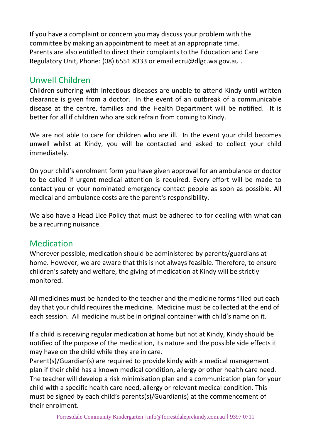If you have a complaint or concern you may discuss your problem with the committee by making an appointment to meet at an appropriate time. Parents are also entitled to direct their complaints to the Education and Care Regulatory Unit, Phone: (08) 6551 8333 or email [ecru@dlgc.wa.gov.au](mailto:ecru@dlgc.wa.gov.au) .

# Unwell Children

Children suffering with infectious diseases are unable to attend Kindy until written clearance is given from a doctor. In the event of an outbreak of a communicable disease at the centre, families and the Health Department will be notified. It is better for all if children who are sick refrain from coming to Kindy.

We are not able to care for children who are ill. In the event your child becomes unwell whilst at Kindy, you will be contacted and asked to collect your child immediately.

On your child's enrolment form you have given approval for an ambulance or doctor to be called if urgent medical attention is required. Every effort will be made to contact you or your nominated emergency contact people as soon as possible. All medical and ambulance costs are the parent's responsibility.

We also have a Head Lice Policy that must be adhered to for dealing with what can be a recurring nuisance.

# Medication

Wherever possible, medication should be administered by parents/guardians at home. However, we are aware that this is not always feasible. Therefore, to ensure children's safety and welfare, the giving of medication at Kindy will be strictly monitored.

All medicines must be handed to the teacher and the medicine forms filled out each day that your child requires the medicine. Medicine must be collected at the end of each session. All medicine must be in original container with child's name on it.

If a child is receiving regular medication at home but not at Kindy, Kindy should be notified of the purpose of the medication, its nature and the possible side effects it may have on the child while they are in care.

Parent(s)/Guardian(s) are required to provide kindy with a medical management plan if their child has a known medical condition, allergy or other health care need. The teacher will develop a risk minimisation plan and a communication plan for your child with a specific health care need, allergy or relevant medical condition. This must be signed by each child's parents(s)/Guardian(s) at the commencement of their enrolment.